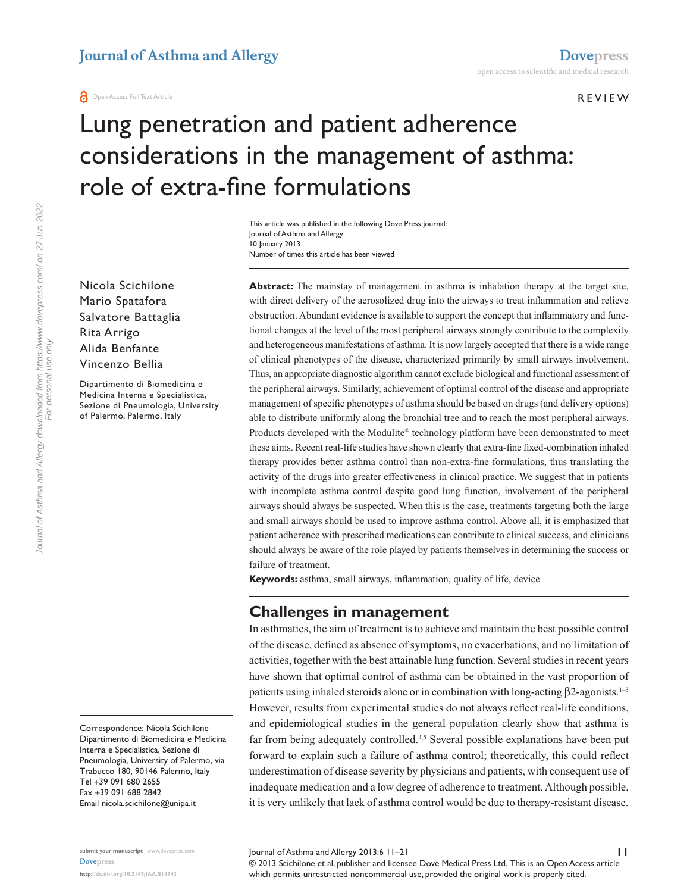**O** Open Access Full Text Article

#### R evie w

# Lung penetration and patient adherence considerations in the management of asthma: role of extra-fine formulations

Number of times this article has been viewed This article was published in the following Dove Press journal: Journal of Asthma and Allergy 10 January 2013

Nicola Scichilone Mario Spatafora Salvatore Battaglia Rita Arrigo Alida Benfante Vincenzo Bellia

Dipartimento di Biomedicina e Medicina Interna e Specialistica, Sezione di Pneumologia, University of Palermo, Palermo, Italy

Correspondence: Nicola Scichilone Dipartimento di Biomedicina e Medicina Interna e Specialistica, Sezione di Pneumologia, University of Palermo, via Trabucco 180, 90146 Palermo, Italy Tel +39 091 680 2655 Fax +39 091 688 2842 Email [nicola.scichilone@unipa.it](mailto:nicola.scichilone@unipa.it)

**Abstract:** The mainstay of management in asthma is inhalation therapy at the target site, with direct delivery of the aerosolized drug into the airways to treat inflammation and relieve obstruction. Abundant evidence is available to support the concept that inflammatory and functional changes at the level of the most peripheral airways strongly contribute to the complexity and heterogeneous manifestations of asthma. It is now largely accepted that there is a wide range of clinical phenotypes of the disease, characterized primarily by small airways involvement. Thus, an appropriate diagnostic algorithm cannot exclude biological and functional assessment of the peripheral airways. Similarly, achievement of optimal control of the disease and appropriate management of specific phenotypes of asthma should be based on drugs (and delivery options) able to distribute uniformly along the bronchial tree and to reach the most peripheral airways. Products developed with the Modulite® technology platform have been demonstrated to meet these aims. Recent real-life studies have shown clearly that extra-fine fixed-combination inhaled therapy provides better asthma control than non-extra-fine formulations, thus translating the activity of the drugs into greater effectiveness in clinical practice. We suggest that in patients with incomplete asthma control despite good lung function, involvement of the peripheral airways should always be suspected. When this is the case, treatments targeting both the large and small airways should be used to improve asthma control. Above all, it is emphasized that patient adherence with prescribed medications can contribute to clinical success, and clinicians should always be aware of the role played by patients themselves in determining the success or failure of treatment.

**Keywords:** asthma, small airways, inflammation, quality of life, device

### **Challenges in management**

In asthmatics, the aim of treatment is to achieve and maintain the best possible control of the disease, defined as absence of symptoms, no exacerbations, and no limitation of activities, together with the best attainable lung function. Several studies in recent years have shown that optimal control of asthma can be obtained in the vast proportion of patients using inhaled steroids alone or in combination with long-acting  $β2$ -agonists.<sup>1-3</sup> However, results from experimental studies do not always reflect real-life conditions, and epidemiological studies in the general population clearly show that asthma is far from being adequately controlled.<sup>4,5</sup> Several possible explanations have been put forward to explain such a failure of asthma control; theoretically, this could reflect underestimation of disease severity by physicians and patients, with consequent use of inadequate medication and a low degree of adherence to treatment. Although possible, it is very unlikely that lack of asthma control would be due to therapy-resistant disease.

© 2013 Scichilone et al, publisher and licensee Dove Medical Press Ltd. This is an Open Access article which permits unrestricted noncommercial use, provided the original work is properly cited.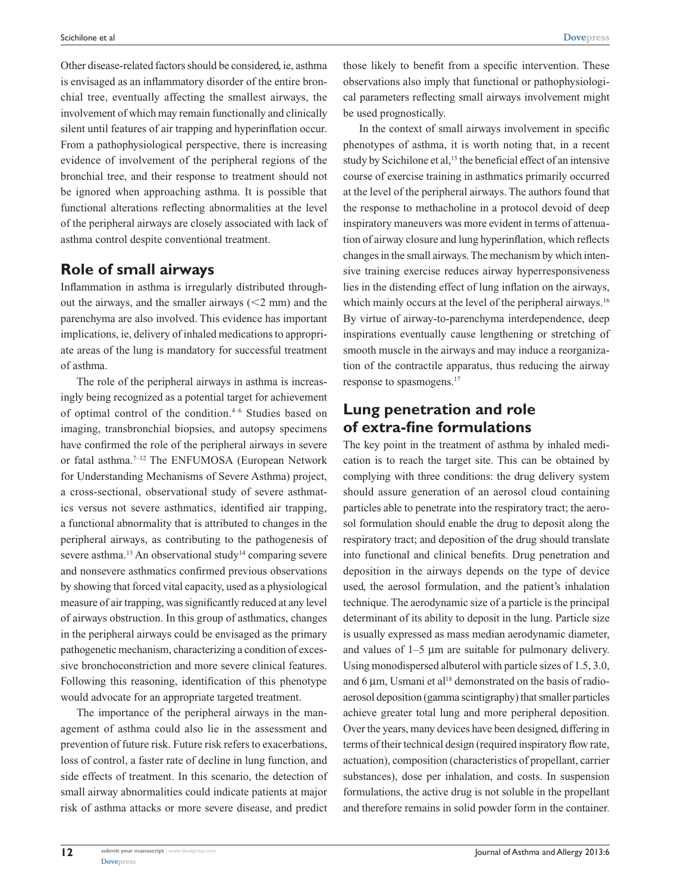**[Dovepress](www.dovepress.com)**

Other disease-related factors should be considered, ie, asthma is envisaged as an inflammatory disorder of the entire bronchial tree, eventually affecting the smallest airways, the involvement of which may remain functionally and clinically silent until features of air trapping and hyperinflation occur. From a pathophysiological perspective, there is increasing evidence of involvement of the peripheral regions of the bronchial tree, and their response to treatment should not be ignored when approaching asthma. It is possible that functional alterations reflecting abnormalities at the level of the peripheral airways are closely associated with lack of asthma control despite conventional treatment.

## **Role of small airways**

Inflammation in asthma is irregularly distributed throughout the airways, and the smaller airways  $(< 2$  mm) and the parenchyma are also involved. This evidence has important implications, ie, delivery of inhaled medications to appropriate areas of the lung is mandatory for successful treatment of asthma.

The role of the peripheral airways in asthma is increasingly being recognized as a potential target for achievement of optimal control of the condition.4–6 Studies based on imaging, transbronchial biopsies, and autopsy specimens have confirmed the role of the peripheral airways in severe or fatal asthma.<sup>7-12</sup> The ENFUMOSA (European Network for Understanding Mechanisms of Severe Asthma) project, a cross-sectional, observational study of severe asthmatics versus not severe asthmatics, identified air trapping, a functional abnormality that is attributed to changes in the peripheral airways, as contributing to the pathogenesis of severe asthma.<sup>13</sup> An observational study<sup>14</sup> comparing severe and nonsevere asthmatics confirmed previous observations by showing that forced vital capacity, used as a physiological measure of air trapping, was significantly reduced at any level of airways obstruction. In this group of asthmatics, changes in the peripheral airways could be envisaged as the primary pathogenetic mechanism, characterizing a condition of excessive bronchoconstriction and more severe clinical features. Following this reasoning, identification of this phenotype would advocate for an appropriate targeted treatment.

The importance of the peripheral airways in the management of asthma could also lie in the assessment and prevention of future risk. Future risk refers to exacerbations, loss of control, a faster rate of decline in lung function, and side effects of treatment. In this scenario, the detection of small airway abnormalities could indicate patients at major risk of asthma attacks or more severe disease, and predict

those likely to benefit from a specific intervention. These observations also imply that functional or pathophysiological parameters reflecting small airways involvement might be used prognostically.

In the context of small airways involvement in specific phenotypes of asthma, it is worth noting that, in a recent study by Scichilone et al,<sup>15</sup> the beneficial effect of an intensive course of exercise training in asthmatics primarily occurred at the level of the peripheral airways. The authors found that the response to methacholine in a protocol devoid of deep inspiratory maneuvers was more evident in terms of attenuation of airway closure and lung hyperinflation, which reflects changes in the small airways. The mechanism by which intensive training exercise reduces airway hyperresponsiveness lies in the distending effect of lung inflation on the airways, which mainly occurs at the level of the peripheral airways.<sup>16</sup> By virtue of airway-to-parenchyma interdependence, deep inspirations eventually cause lengthening or stretching of smooth muscle in the airways and may induce a reorganization of the contractile apparatus, thus reducing the airway response to spasmogens.17

# **Lung penetration and role of extra-fine formulations**

The key point in the treatment of asthma by inhaled medication is to reach the target site. This can be obtained by complying with three conditions: the drug delivery system should assure generation of an aerosol cloud containing particles able to penetrate into the respiratory tract; the aerosol formulation should enable the drug to deposit along the respiratory tract; and deposition of the drug should translate into functional and clinical benefits. Drug penetration and deposition in the airways depends on the type of device used, the aerosol formulation, and the patient's inhalation technique. The aerodynamic size of a particle is the principal determinant of its ability to deposit in the lung. Particle size is usually expressed as mass median aerodynamic diameter, and values of 1–5 µm are suitable for pulmonary delivery. Using monodispersed albuterol with particle sizes of 1.5, 3.0, and 6  $\mu$ m, Usmani et al<sup>18</sup> demonstrated on the basis of radioaerosol deposition (gamma scintigraphy) that smaller particles achieve greater total lung and more peripheral deposition. Over the years, many devices have been designed, differing in terms of their technical design (required inspiratory flow rate, actuation), composition (characteristics of propellant, carrier substances), dose per inhalation, and costs. In suspension formulations, the active drug is not soluble in the propellant and therefore remains in solid powder form in the container.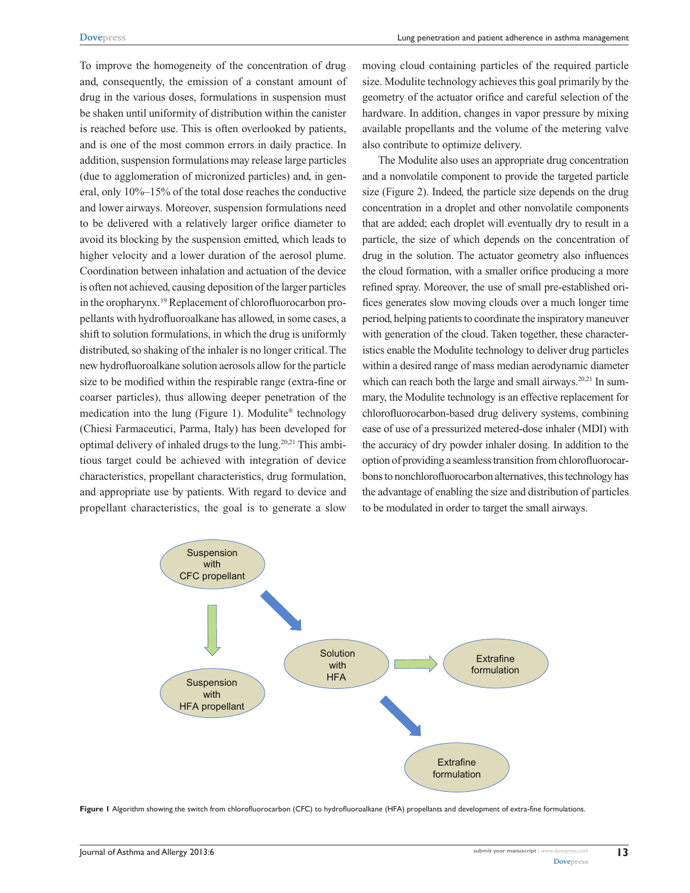To improve the homogeneity of the concentration of drug and, consequently, the emission of a constant amount of drug in the various doses, formulations in suspension must be shaken until uniformity of distribution within the canister is reached before use. This is often overlooked by patients, and is one of the most common errors in daily practice. In addition, suspension formulations may release large particles (due to agglomeration of micronized particles) and, in general, only 10%–15% of the total dose reaches the conductive and lower airways. Moreover, suspension formulations need to be delivered with a relatively larger orifice diameter to avoid its blocking by the suspension emitted, which leads to higher velocity and a lower duration of the aerosol plume. Coordination between inhalation and actuation of the device is often not achieved, causing deposition of the larger particles in the oropharynx.19 Replacement of chlorofluorocarbon propellants with hydrofluoroalkane has allowed, in some cases, a shift to solution formulations, in which the drug is uniformly distributed, so shaking of the inhaler is no longer critical. The new hydrofluoroalkane solution aerosols allow for the particle size to be modified within the respirable range (extra-fine or coarser particles), thus allowing deeper penetration of the medication into the lung (Figure 1). Modulite® technology (Chiesi Farmaceutici, Parma, Italy) has been developed for optimal delivery of inhaled drugs to the lung.20,21 This ambitious target could be achieved with integration of device characteristics, propellant characteristics, drug formulation, and appropriate use by patients. With regard to device and propellant characteristics, the goal is to generate a slow

moving cloud containing particles of the required particle size. Modulite technology achieves this goal primarily by the geometry of the actuator orifice and careful selection of the hardware. In addition, changes in vapor pressure by mixing available propellants and the volume of the metering valve also contribute to optimize delivery.

The Modulite also uses an appropriate drug concentration and a nonvolatile component to provide the targeted particle size (Figure 2). Indeed, the particle size depends on the drug concentration in a droplet and other nonvolatile components that are added; each droplet will eventually dry to result in a particle, the size of which depends on the concentration of drug in the solution. The actuator geometry also influences the cloud formation, with a smaller orifice producing a more refined spray. Moreover, the use of small pre-established orifices generates slow moving clouds over a much longer time period, helping patients to coordinate the inspiratory maneuver with generation of the cloud. Taken together, these characteristics enable the Modulite technology to deliver drug particles within a desired range of mass median aerodynamic diameter which can reach both the large and small airways.<sup>20,21</sup> In summary, the Modulite technology is an effective replacement for chlorofluorocarbon-based drug delivery systems, combining ease of use of a pressurized metered-dose inhaler (MDI) with the accuracy of dry powder inhaler dosing. In addition to the option of providing a seamless transition from chlorofluorocarbons to nonchlorofluorocarbon alternatives, this technology has the advantage of enabling the size and distribution of particles to be modulated in order to target the small airways.



**Figure 1** Algorithm showing the switch from chlorofluorocarbon (CFC) to hydrofluoroalkane (HFA) propellants and development of extra-fine formulations.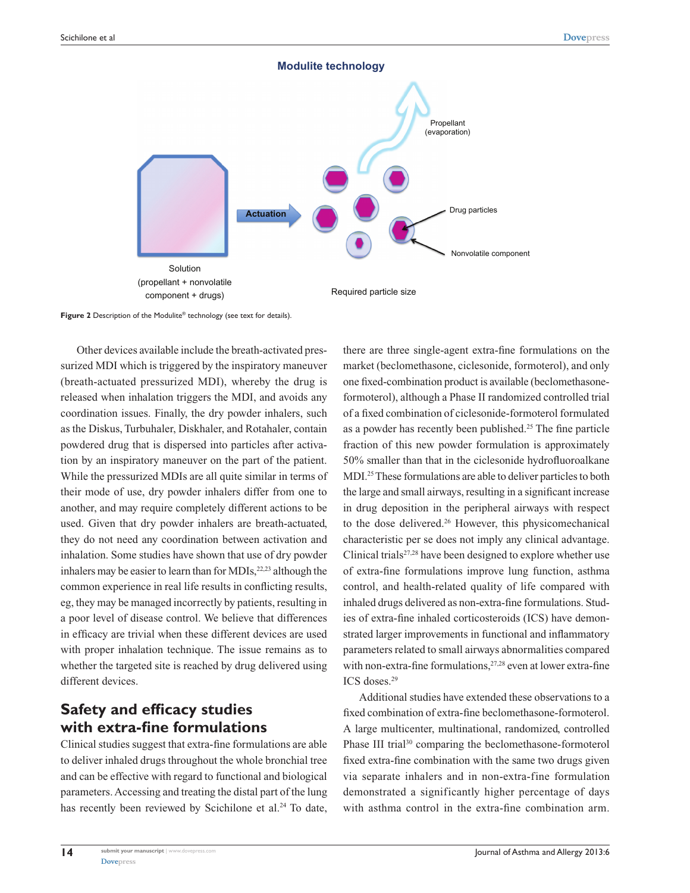

**Figure 2** Description of the Modulite® technology (see text for details).

Other devices available include the breath-activated pressurized MDI which is triggered by the inspiratory maneuver (breath-actuated pressurized MDI), whereby the drug is released when inhalation triggers the MDI, and avoids any coordination issues. Finally, the dry powder inhalers, such as the Diskus, Turbuhaler, Diskhaler, and Rotahaler, contain powdered drug that is dispersed into particles after activation by an inspiratory maneuver on the part of the patient. While the pressurized MDIs are all quite similar in terms of their mode of use, dry powder inhalers differ from one to another, and may require completely different actions to be used. Given that dry powder inhalers are breath-actuated, they do not need any coordination between activation and inhalation. Some studies have shown that use of dry powder inhalers may be easier to learn than for MDIs, $22,23$  although the common experience in real life results in conflicting results, eg, they may be managed incorrectly by patients, resulting in a poor level of disease control. We believe that differences in efficacy are trivial when these different devices are used with proper inhalation technique. The issue remains as to whether the targeted site is reached by drug delivered using different devices.

## **Safety and efficacy studies with extra-fine formulations**

Clinical studies suggest that extra-fine formulations are able to deliver inhaled drugs throughout the whole bronchial tree and can be effective with regard to functional and biological parameters. Accessing and treating the distal part of the lung has recently been reviewed by Scichilone et al.<sup>24</sup> To date, there are three single-agent extra-fine formulations on the market (beclomethasone, ciclesonide, formoterol), and only one fixed-combination product is available (beclomethasoneformoterol), although a Phase II randomized controlled trial of a fixed combination of ciclesonide-formoterol formulated as a powder has recently been published.25 The fine particle fraction of this new powder formulation is approximately 50% smaller than that in the ciclesonide hydrofluoroalkane MDI.25 These formulations are able to deliver particles to both the large and small airways, resulting in a significant increase in drug deposition in the peripheral airways with respect to the dose delivered.26 However, this physicomechanical characteristic per se does not imply any clinical advantage. Clinical trials $27,28$  have been designed to explore whether use of extra-fine formulations improve lung function, asthma control, and health-related quality of life compared with inhaled drugs delivered as non-extra-fine formulations. Studies of extra-fine inhaled corticosteroids (ICS) have demonstrated larger improvements in functional and inflammatory parameters related to small airways abnormalities compared with non-extra-fine formulations,<sup>27,28</sup> even at lower extra-fine ICS doses.29

Additional studies have extended these observations to a fixed combination of extra-fine beclomethasone-formoterol. A large multicenter, multinational, randomized, controlled Phase III trial<sup>30</sup> comparing the beclomethasone-formoterol fixed extra-fine combination with the same two drugs given via separate inhalers and in non-extra-fine formulation demonstrated a significantly higher percentage of days with asthma control in the extra-fine combination arm.

**14**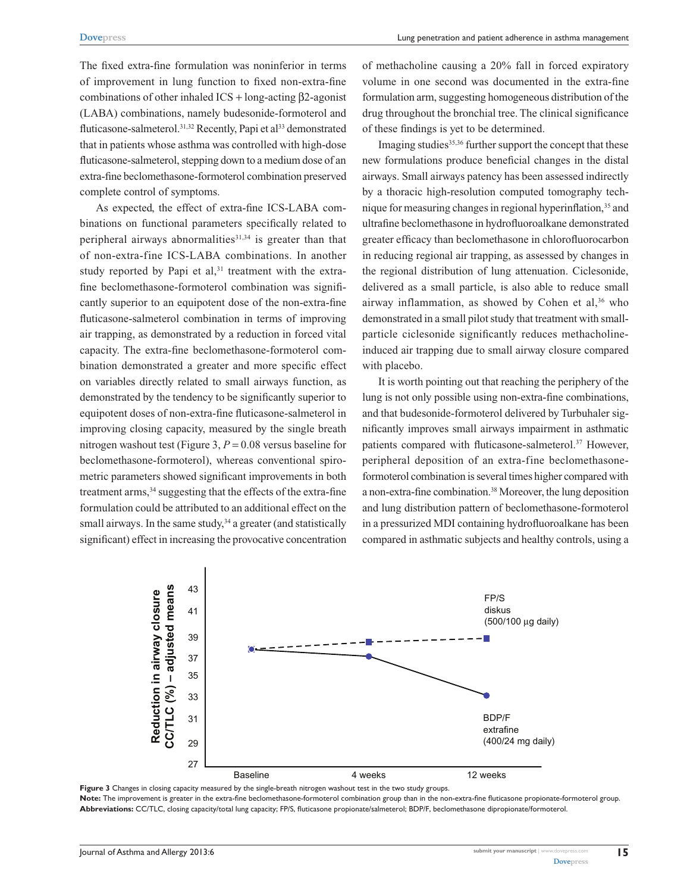The fixed extra-fine formulation was noninferior in terms of improvement in lung function to fixed non-extra-fine combinations of other inhaled ICS + long-acting β2-agonist (LABA) combinations, namely budesonide-formoterol and fluticasone-salmeterol.<sup>31,32</sup> Recently, Papi et al<sup>33</sup> demonstrated that in patients whose asthma was controlled with high-dose fluticasone-salmeterol, stepping down to a medium dose of an extra-fine beclomethasone-formoterol combination preserved complete control of symptoms.

As expected, the effect of extra-fine ICS-LABA combinations on functional parameters specifically related to peripheral airways abnormalities $31,34$  is greater than that of non-extra-fine ICS-LABA combinations. In another study reported by Papi et al, $31$  treatment with the extrafine beclomethasone-formoterol combination was significantly superior to an equipotent dose of the non-extra-fine fluticasone-salmeterol combination in terms of improving air trapping, as demonstrated by a reduction in forced vital capacity. The extra-fine beclomethasone-formoterol combination demonstrated a greater and more specific effect on variables directly related to small airways function, as demonstrated by the tendency to be significantly superior to equipotent doses of non-extra-fine fluticasone-salmeterol in improving closing capacity, measured by the single breath nitrogen washout test (Figure 3, *P* = 0.08 versus baseline for beclomethasone-formoterol), whereas conventional spirometric parameters showed significant improvements in both treatment arms,<sup>34</sup> suggesting that the effects of the extra-fine formulation could be attributed to an additional effect on the small airways. In the same study,  $34$  a greater (and statistically significant) effect in increasing the provocative concentration of methacholine causing a 20% fall in forced expiratory volume in one second was documented in the extra-fine formulation arm, suggesting homogeneous distribution of the drug throughout the bronchial tree. The clinical significance of these findings is yet to be determined.

Imaging studies<sup>35,36</sup> further support the concept that these new formulations produce beneficial changes in the distal airways. Small airways patency has been assessed indirectly by a thoracic high-resolution computed tomography technique for measuring changes in regional hyperinflation,<sup>35</sup> and ultrafine beclomethasone in hydrofluoroalkane demonstrated greater efficacy than beclomethasone in chlorofluorocarbon in reducing regional air trapping, as assessed by changes in the regional distribution of lung attenuation. Ciclesonide, delivered as a small particle, is also able to reduce small airway inflammation, as showed by Cohen et  $al$ ,<sup>36</sup> who demonstrated in a small pilot study that treatment with smallparticle ciclesonide significantly reduces methacholineinduced air trapping due to small airway closure compared with placebo.

It is worth pointing out that reaching the periphery of the lung is not only possible using non-extra-fine combinations, and that budesonide-formoterol delivered by Turbuhaler significantly improves small airways impairment in asthmatic patients compared with fluticasone-salmeterol.<sup>37</sup> However, peripheral deposition of an extra-fine beclomethasoneformoterol combination is several times higher compared with a non-extra-fine combination.38 Moreover, the lung deposition and lung distribution pattern of beclomethasone-formoterol in a pressurized MDI containing hydrofluoroalkane has been compared in asthmatic subjects and healthy controls, using a



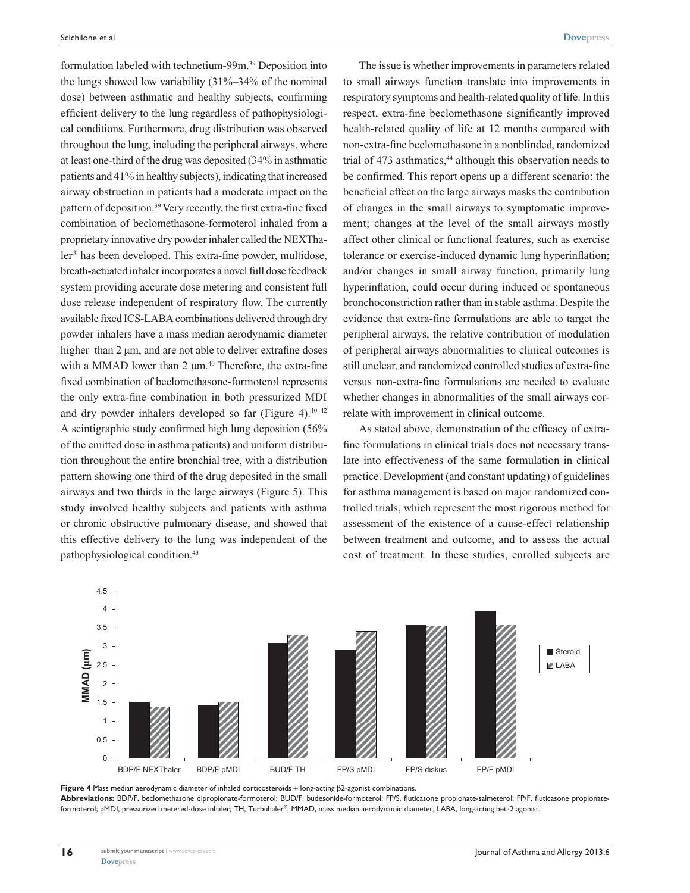formulation labeled with technetium-99m.39 Deposition into the lungs showed low variability (31%–34% of the nominal dose) between asthmatic and healthy subjects, confirming efficient delivery to the lung regardless of pathophysiological conditions. Furthermore, drug distribution was observed throughout the lung, including the peripheral airways, where at least one-third of the drug was deposited (34% in asthmatic patients and 41% in healthy subjects), indicating that increased airway obstruction in patients had a moderate impact on the pattern of deposition.39 Very recently, the first extra-fine fixed combination of beclomethasone-formoterol inhaled from a proprietary innovative dry powder inhaler called the NEXThaler® has been developed. This extra-fine powder, multidose, breath-actuated inhaler incorporates a novel full dose feedback system providing accurate dose metering and consistent full dose release independent of respiratory flow. The currently available fixed ICS-LABA combinations delivered through dry powder inhalers have a mass median aerodynamic diameter higher than 2  $\mu$ m, and are not able to deliver extrafine doses with a MMAD lower than  $2 \mu m^{40}$  Therefore, the extra-fine fixed combination of beclomethasone-formoterol represents the only extra-fine combination in both pressurized MDI and dry powder inhalers developed so far (Figure 4). $40-42$ A scintigraphic study confirmed high lung deposition (56% of the emitted dose in asthma patients) and uniform distribution throughout the entire bronchial tree, with a distribution pattern showing one third of the drug deposited in the small airways and two thirds in the large airways (Figure 5). This study involved healthy subjects and patients with asthma or chronic obstructive pulmonary disease, and showed that this effective delivery to the lung was independent of the pathophysiological condition.43

The issue is whether improvements in parameters related to small airways function translate into improvements in respiratory symptoms and health-related quality of life. In this respect, extra-fine beclomethasone significantly improved health-related quality of life at 12 months compared with non-extra-fine beclomethasone in a nonblinded, randomized trial of 473 asthmatics,<sup>44</sup> although this observation needs to be confirmed. This report opens up a different scenario: the beneficial effect on the large airways masks the contribution of changes in the small airways to symptomatic improvement; changes at the level of the small airways mostly affect other clinical or functional features, such as exercise tolerance or exercise-induced dynamic lung hyperinflation; and/or changes in small airway function, primarily lung hyperinflation, could occur during induced or spontaneous bronchoconstriction rather than in stable asthma. Despite the evidence that extra-fine formulations are able to target the peripheral airways, the relative contribution of modulation of peripheral airways abnormalities to clinical outcomes is still unclear, and randomized controlled studies of extra-fine versus non-extra-fine formulations are needed to evaluate whether changes in abnormalities of the small airways correlate with improvement in clinical outcome.

As stated above, demonstration of the efficacy of extrafine formulations in clinical trials does not necessary translate into effectiveness of the same formulation in clinical practice. Development (and constant updating) of guidelines for asthma management is based on major randomized controlled trials, which represent the most rigorous method for assessment of the existence of a cause-effect relationship between treatment and outcome, and to assess the actual cost of treatment. In these studies, enrolled subjects are



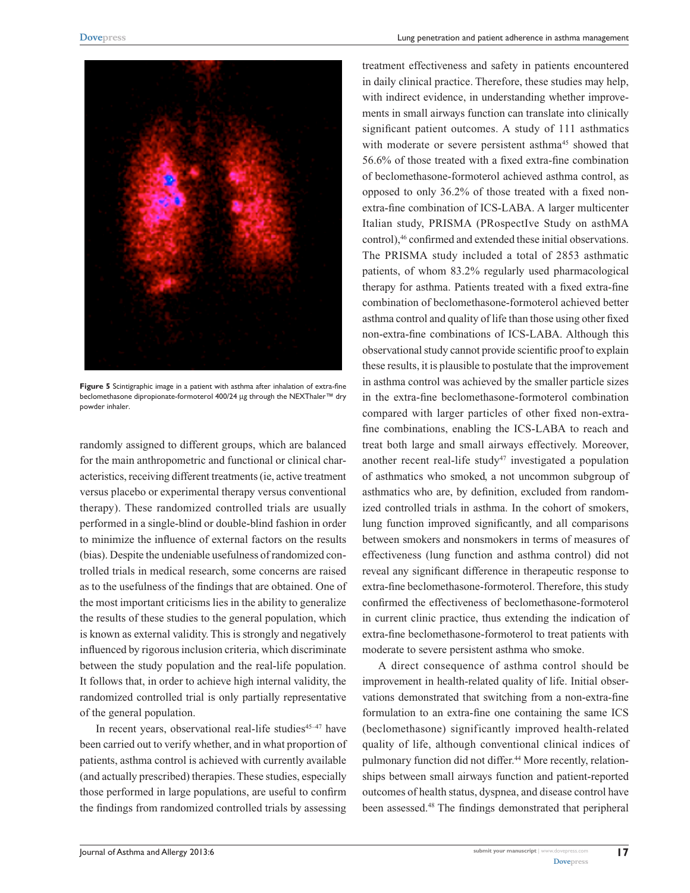

**Figure 5** Scintigraphic image in a patient with asthma after inhalation of extra-fine beclomethasone dipropionate-formoterol 400/24 µg through the NEXThaler™ dry powder inhaler.

randomly assigned to different groups, which are balanced for the main anthropometric and functional or clinical characteristics, receiving different treatments (ie, active treatment versus placebo or experimental therapy versus conventional therapy). These randomized controlled trials are usually performed in a single-blind or double-blind fashion in order to minimize the influence of external factors on the results (bias). Despite the undeniable usefulness of randomized controlled trials in medical research, some concerns are raised as to the usefulness of the findings that are obtained. One of the most important criticisms lies in the ability to generalize the results of these studies to the general population, which is known as external validity. This is strongly and negatively influenced by rigorous inclusion criteria, which discriminate between the study population and the real-life population. It follows that, in order to achieve high internal validity, the randomized controlled trial is only partially representative of the general population.

In recent years, observational real-life studies $45-47$  have been carried out to verify whether, and in what proportion of patients, asthma control is achieved with currently available (and actually prescribed) therapies. These studies, especially those performed in large populations, are useful to confirm the findings from randomized controlled trials by assessing treatment effectiveness and safety in patients encountered in daily clinical practice. Therefore, these studies may help, with indirect evidence, in understanding whether improvements in small airways function can translate into clinically significant patient outcomes. A study of 111 asthmatics with moderate or severe persistent asthma<sup>45</sup> showed that 56.6% of those treated with a fixed extra-fine combination of beclomethasone-formoterol achieved asthma control, as opposed to only 36.2% of those treated with a fixed nonextra-fine combination of ICS-LABA. A larger multicenter Italian study, PRISMA (PRospectIve Study on asthMA control),<sup>46</sup> confirmed and extended these initial observations. The PRISMA study included a total of 2853 asthmatic patients, of whom 83.2% regularly used pharmacological therapy for asthma. Patients treated with a fixed extra-fine combination of beclomethasone-formoterol achieved better asthma control and quality of life than those using other fixed non-extra-fine combinations of ICS-LABA. Although this observational study cannot provide scientific proof to explain these results, it is plausible to postulate that the improvement in asthma control was achieved by the smaller particle sizes in the extra-fine beclomethasone-formoterol combination compared with larger particles of other fixed non-extrafine combinations, enabling the ICS-LABA to reach and treat both large and small airways effectively. Moreover, another recent real-life study<sup>47</sup> investigated a population of asthmatics who smoked, a not uncommon subgroup of asthmatics who are, by definition, excluded from randomized controlled trials in asthma. In the cohort of smokers, lung function improved significantly, and all comparisons between smokers and nonsmokers in terms of measures of effectiveness (lung function and asthma control) did not reveal any significant difference in therapeutic response to extra-fine beclomethasone-formoterol. Therefore, this study confirmed the effectiveness of beclomethasone-formoterol in current clinic practice, thus extending the indication of extra-fine beclomethasone-formoterol to treat patients with moderate to severe persistent asthma who smoke.

A direct consequence of asthma control should be improvement in health-related quality of life. Initial observations demonstrated that switching from a non-extra-fine formulation to an extra-fine one containing the same ICS (beclomethasone) significantly improved health-related quality of life, although conventional clinical indices of pulmonary function did not differ.<sup>44</sup> More recently, relationships between small airways function and patient-reported outcomes of health status, dyspnea, and disease control have been assessed.48 The findings demonstrated that peripheral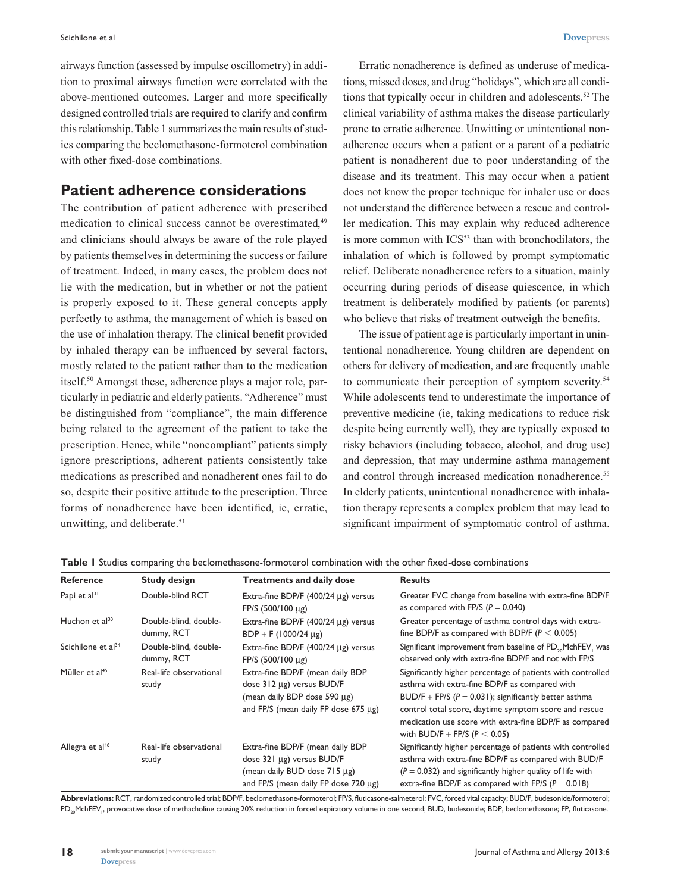airways function (assessed by impulse oscillometry) in addition to proximal airways function were correlated with the above-mentioned outcomes. Larger and more specifically designed controlled trials are required to clarify and confirm this relationship. Table 1 summarizes the main results of studies comparing the beclomethasone-formoterol combination with other fixed-dose combinations.

#### **Patient adherence considerations**

The contribution of patient adherence with prescribed medication to clinical success cannot be overestimated,<sup>49</sup> and clinicians should always be aware of the role played by patients themselves in determining the success or failure of treatment. Indeed, in many cases, the problem does not lie with the medication, but in whether or not the patient is properly exposed to it. These general concepts apply perfectly to asthma, the management of which is based on the use of inhalation therapy. The clinical benefit provided by inhaled therapy can be influenced by several factors, mostly related to the patient rather than to the medication itself.<sup>50</sup> Amongst these, adherence plays a major role, particularly in pediatric and elderly patients. "Adherence" must be distinguished from "compliance", the main difference being related to the agreement of the patient to take the prescription. Hence, while "noncompliant" patients simply ignore prescriptions, adherent patients consistently take medications as prescribed and nonadherent ones fail to do so, despite their positive attitude to the prescription. Three forms of nonadherence have been identified, ie, erratic, unwitting, and deliberate.<sup>51</sup>

Erratic nonadherence is defined as underuse of medications, missed doses, and drug "holidays", which are all conditions that typically occur in children and adolescents.<sup>52</sup> The clinical variability of asthma makes the disease particularly prone to erratic adherence. Unwitting or unintentional nonadherence occurs when a patient or a parent of a pediatric patient is nonadherent due to poor understanding of the disease and its treatment. This may occur when a patient does not know the proper technique for inhaler use or does not understand the difference between a rescue and controller medication. This may explain why reduced adherence is more common with ICS<sup>53</sup> than with bronchodilators, the inhalation of which is followed by prompt symptomatic relief. Deliberate nonadherence refers to a situation, mainly occurring during periods of disease quiescence, in which treatment is deliberately modified by patients (or parents) who believe that risks of treatment outweigh the benefits.

The issue of patient age is particularly important in unintentional nonadherence. Young children are dependent on others for delivery of medication, and are frequently unable to communicate their perception of symptom severity.<sup>54</sup> While adolescents tend to underestimate the importance of preventive medicine (ie, taking medications to reduce risk despite being currently well), they are typically exposed to risky behaviors (including tobacco, alcohol, and drug use) and depression, that may undermine asthma management and control through increased medication nonadherence.<sup>55</sup> In elderly patients, unintentional nonadherence with inhalation therapy represents a complex problem that may lead to significant impairment of symptomatic control of asthma.

| <b>Reference</b>            | <b>Study design</b>                 | <b>Treatments and daily dose</b>                                                                                                      | <b>Results</b>                                                                                                                                                                                                                                                                                                                  |
|-----------------------------|-------------------------------------|---------------------------------------------------------------------------------------------------------------------------------------|---------------------------------------------------------------------------------------------------------------------------------------------------------------------------------------------------------------------------------------------------------------------------------------------------------------------------------|
| Papi et al <sup>31</sup>    | Double-blind RCT                    | Extra-fine BDP/F $(400/24 \mu g)$ versus<br>FP/S (500/100 µg)                                                                         | Greater FVC change from baseline with extra-fine BDP/F<br>as compared with FP/S ( $P = 0.040$ )                                                                                                                                                                                                                                 |
| Huchon et $al^{30}$         | Double-blind, double-<br>dummy, RCT | Extra-fine BDP/F (400/24 µg) versus<br>$BDP + F (1000/24 \mu g)$                                                                      | Greater percentage of asthma control days with extra-<br>fine BDP/F as compared with BDP/F ( $P < 0.005$ )                                                                                                                                                                                                                      |
| Scichilone et $al^{34}$     | Double-blind, double-<br>dummy, RCT | Extra-fine BDP/F (400/24 µg) versus<br>FP/S (500/100 µg)                                                                              | Significant improvement from baseline of PD <sub>20</sub> MchFEV, was<br>observed only with extra-fine BDP/F and not with FP/S                                                                                                                                                                                                  |
| Müller et al <sup>45</sup>  | Real-life observational<br>study    | Extra-fine BDP/F (mean daily BDP<br>dose 312 µg) versus BUD/F<br>(mean daily BDP dose 590 µg)<br>and FP/S (mean daily FP dose 675 µg) | Significantly higher percentage of patients with controlled<br>asthma with extra-fine BDP/F as compared with<br>$BUD/F + FP/S (P = 0.031)$ ; significantly better asthma<br>control total score, daytime symptom score and rescue<br>medication use score with extra-fine BDP/F as compared<br>with BUD/F + FP/S ( $P < 0.05$ ) |
| Allegra et al <sup>46</sup> | Real-life observational<br>study    | Extra-fine BDP/F (mean daily BDP<br>dose 321 µg) versus BUD/F<br>(mean daily BUD dose 715 µg)<br>and FP/S (mean daily FP dose 720 µg) | Significantly higher percentage of patients with controlled<br>asthma with extra-fine BDP/F as compared with BUD/F<br>$(P = 0.032)$ and significantly higher quality of life with<br>extra-fine BDP/F as compared with FP/S ( $P = 0.018$ )                                                                                     |

**Table 1** Studies comparing the beclomethasone-formoterol combination with the other fixed-dose combinations

**Abbreviations:** RCT, randomized controlled trial; BDP/F, beclomethasone-formoterol; FP/S, fluticasone-salmeterol; FVC, forced vital capacity; BUD/F, budesonide/formoterol; PD<sub>20</sub>MchFEV<sub>1</sub>, provocative dose of methacholine causing 20% reduction in forced expiratory volume in one second; BUD, budesonide; BDP, beclomethasone; FP, fluticasone.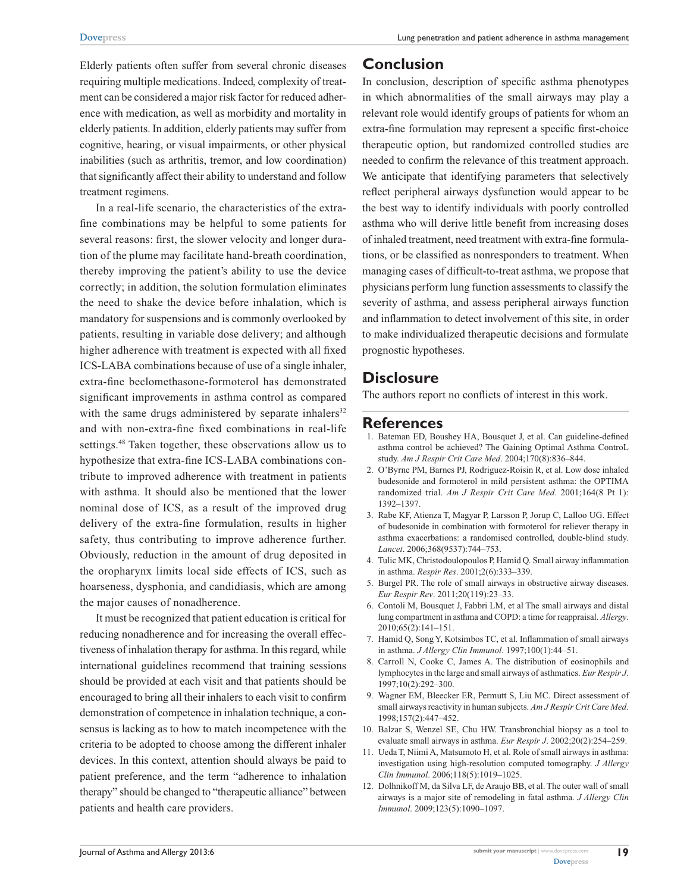Elderly patients often suffer from several chronic diseases requiring multiple medications. Indeed, complexity of treatment can be considered a major risk factor for reduced adherence with medication, as well as morbidity and mortality in elderly patients. In addition, elderly patients may suffer from cognitive, hearing, or visual impairments, or other physical inabilities (such as arthritis, tremor, and low coordination) that significantly affect their ability to understand and follow treatment regimens.

In a real-life scenario, the characteristics of the extrafine combinations may be helpful to some patients for several reasons: first, the slower velocity and longer duration of the plume may facilitate hand-breath coordination, thereby improving the patient's ability to use the device correctly; in addition, the solution formulation eliminates the need to shake the device before inhalation, which is mandatory for suspensions and is commonly overlooked by patients, resulting in variable dose delivery; and although higher adherence with treatment is expected with all fixed ICS-LABA combinations because of use of a single inhaler, extra-fine beclomethasone-formoterol has demonstrated significant improvements in asthma control as compared with the same drugs administered by separate inhalers $32$ and with non-extra-fine fixed combinations in real-life settings.<sup>48</sup> Taken together, these observations allow us to hypothesize that extra-fine ICS-LABA combinations contribute to improved adherence with treatment in patients with asthma. It should also be mentioned that the lower nominal dose of ICS, as a result of the improved drug delivery of the extra-fine formulation, results in higher safety, thus contributing to improve adherence further. Obviously, reduction in the amount of drug deposited in the oropharynx limits local side effects of ICS, such as hoarseness, dysphonia, and candidiasis, which are among the major causes of nonadherence.

It must be recognized that patient education is critical for reducing nonadherence and for increasing the overall effectiveness of inhalation therapy for asthma. In this regard, while international guidelines recommend that training sessions should be provided at each visit and that patients should be encouraged to bring all their inhalers to each visit to confirm demonstration of competence in inhalation technique, a consensus is lacking as to how to match incompetence with the criteria to be adopted to choose among the different inhaler devices. In this context, attention should always be paid to patient preference, and the term "adherence to inhalation therapy" should be changed to "therapeutic alliance" between patients and health care providers.

## **Conclusion**

In conclusion, description of specific asthma phenotypes in which abnormalities of the small airways may play a relevant role would identify groups of patients for whom an extra-fine formulation may represent a specific first-choice therapeutic option, but randomized controlled studies are needed to confirm the relevance of this treatment approach. We anticipate that identifying parameters that selectively reflect peripheral airways dysfunction would appear to be the best way to identify individuals with poorly controlled asthma who will derive little benefit from increasing doses of inhaled treatment, need treatment with extra-fine formulations, or be classified as nonresponders to treatment. When managing cases of difficult-to-treat asthma, we propose that physicians perform lung function assessments to classify the severity of asthma, and assess peripheral airways function and inflammation to detect involvement of this site, in order to make individualized therapeutic decisions and formulate prognostic hypotheses.

## **Disclosure**

The authors report no conflicts of interest in this work.

#### **References**

- 1. Bateman ED, Boushey HA, Bousquet J, et al. Can guideline-defined asthma control be achieved? The Gaining Optimal Asthma ControL study. *Am J Respir Crit Care Med*. 2004;170(8):836–844.
- 2. O'Byrne PM, Barnes PJ, Rodriguez-Roisin R, et al. Low dose inhaled budesonide and formoterol in mild persistent asthma: the OPTIMA randomized trial. *Am J Respir Crit Care Med*. 2001;164(8 Pt 1): 1392–1397.
- 3. Rabe KF, Atienza T, Magyar P, Larsson P, Jorup C, Lalloo UG. Effect of budesonide in combination with formoterol for reliever therapy in asthma exacerbations: a randomised controlled, double-blind study. *Lancet*. 2006;368(9537):744–753.
- 4. Tulic MK, Christodoulopoulos P, Hamid Q. Small airway inflammation in asthma. *Respir Res*. 2001;2(6):333–339.
- 5. Burgel PR. The role of small airways in obstructive airway diseases. *Eur Respir Rev*. 2011;20(119):23–33.
- 6. Contoli M, Bousquet J, Fabbri LM, et al The small airways and distal lung compartment in asthma and COPD: a time for reappraisal. *Allergy*. 2010;65(2):141–151.
- 7. Hamid Q, Song Y, Kotsimbos TC, et al. Inflammation of small airways in asthma. *J Allergy Clin Immunol*. 1997;100(1):44–51.
- 8. Carroll N, Cooke C, James A. The distribution of eosinophils and lymphocytes in the large and small airways of asthmatics. *Eur Respir J*. 1997;10(2):292–300.
- 9. Wagner EM, Bleecker ER, Permutt S, Liu MC. Direct assessment of small airways reactivity in human subjects. *Am J Respir Crit Care Med*. 1998;157(2):447–452.
- 10. Balzar S, Wenzel SE, Chu HW. Transbronchial biopsy as a tool to evaluate small airways in asthma. *Eur Respir J*. 2002;20(2):254–259.
- 11. Ueda T, Niimi A, Matsumoto H, et al. Role of small airways in asthma: investigation using high-resolution computed tomography. *J Allergy Clin Immunol*. 2006;118(5):1019–1025.
- 12. Dolhnikoff M, da Silva LF, de Araujo BB, et al. The outer wall of small airways is a major site of remodeling in fatal asthma. *J Allergy Clin Immunol*. 2009;123(5):1090–1097.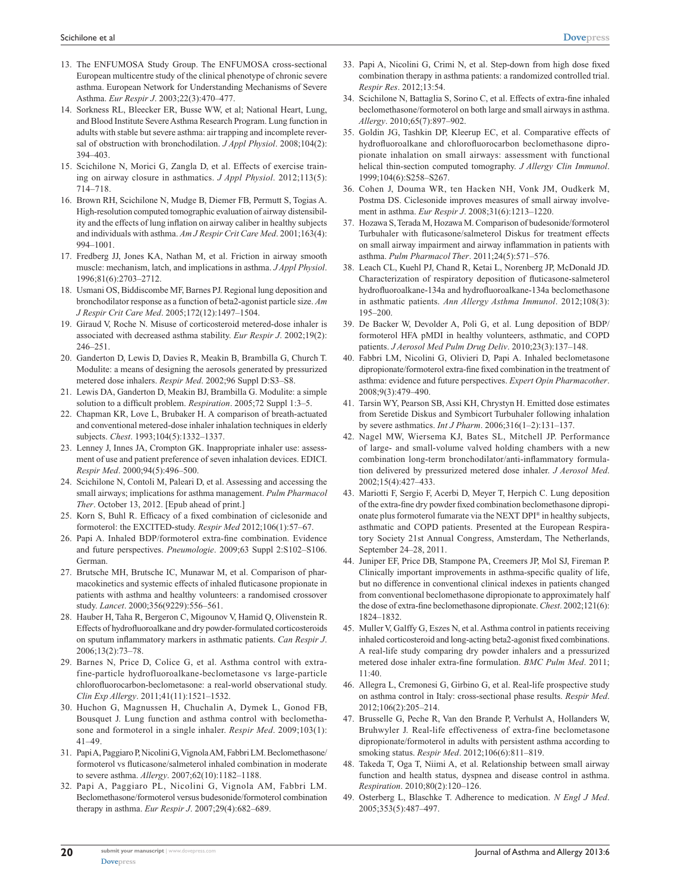- 13. The ENFUMOSA Study Group. The ENFUMOSA cross-sectional European multicentre study of the clinical phenotype of chronic severe asthma. European Network for Understanding Mechanisms of Severe Asthma. *Eur Respir J*. 2003;22(3):470–477.
- 14. Sorkness RL, Bleecker ER, Busse WW, et al; National Heart, Lung, and Blood Institute Severe Asthma Research Program. Lung function in adults with stable but severe asthma: air trapping and incomplete reversal of obstruction with bronchodilation. *J Appl Physiol*. 2008;104(2): 394–403.
- 15. Scichilone N, Morici G, Zangla D, et al. Effects of exercise training on airway closure in asthmatics. *J Appl Physiol*. 2012;113(5): 714–718.
- 16. Brown RH, Scichilone N, Mudge B, Diemer FB, Permutt S, Togias A. High-resolution computed tomographic evaluation of airway distensibility and the effects of lung inflation on airway caliber in healthy subjects and individuals with asthma. *Am J Respir Crit Care Med*. 2001;163(4): 994–1001.
- 17. Fredberg JJ, Jones KA, Nathan M, et al. Friction in airway smooth muscle: mechanism, latch, and implications in asthma. *J Appl Physiol*. 1996;81(6):2703–2712.
- 18. Usmani OS, Biddiscombe MF, Barnes PJ. Regional lung deposition and bronchodilator response as a function of beta2-agonist particle size. *Am J Respir Crit Care Med*. 2005;172(12):1497–1504.
- 19. Giraud V, Roche N. Misuse of corticosteroid metered-dose inhaler is associated with decreased asthma stability. *Eur Respir J*. 2002;19(2): 246–251.
- 20. Ganderton D, Lewis D, Davies R, Meakin B, Brambilla G, Church T. Modulite: a means of designing the aerosols generated by pressurized metered dose inhalers. *Respir Med*. 2002;96 Suppl D:S3–S8.
- 21. Lewis DA, Ganderton D, Meakin BJ, Brambilla G. Modulite: a simple solution to a difficult problem. *Respiration*. 2005;72 Suppl 1:3–5.
- 22. Chapman KR, Love L, Brubaker H. A comparison of breath-actuated and conventional metered-dose inhaler inhalation techniques in elderly subjects. *Chest*. 1993;104(5):1332–1337.
- 23. Lenney J, Innes JA, Crompton GK. Inappropriate inhaler use: assessment of use and patient preference of seven inhalation devices. EDICI. *Respir Med*. 2000;94(5):496–500.
- 24. Scichilone N, Contoli M, Paleari D, et al. Assessing and accessing the small airways; implications for asthma management. *Pulm Pharmacol Ther*. October 13, 2012. [Epub ahead of print.]
- 25. Korn S, Buhl R. Efficacy of a fixed combination of ciclesonide and formoterol: the EXCITED-study. *Respir Med* 2012;106(1):57–67.
- 26. Papi A. Inhaled BDP/formoterol extra-fine combination. Evidence and future perspectives. *Pneumologie*. 2009;63 Suppl 2:S102–S106. German.
- 27. Brutsche MH, Brutsche IC, Munawar M, et al. Comparison of pharmacokinetics and systemic effects of inhaled fluticasone propionate in patients with asthma and healthy volunteers: a randomised crossover study. *Lancet*. 2000;356(9229):556–561.
- 28. Hauber H, Taha R, Bergeron C, Migounov V, Hamid Q, Olivenstein R. Effects of hydrofluoroalkane and dry powder-formulated corticosteroids on sputum inflammatory markers in asthmatic patients. *Can Respir J*. 2006;13(2):73–78.
- 29. Barnes N, Price D, Colice G, et al. Asthma control with extrafine-particle hydrofluoroalkane-beclometasone vs large-particle chlorofluorocarbon-beclometasone: a real-world observational study. *Clin Exp Allergy*. 2011;41(11):1521–1532.
- 30. Huchon G, Magnussen H, Chuchalin A, Dymek L, Gonod FB, Bousquet J. Lung function and asthma control with beclomethasone and formoterol in a single inhaler. *Respir Med*. 2009;103(1): 41–49.
- 31. Papi A, Paggiaro P, Nicolini G, Vignola AM, Fabbri LM. Beclomethasone/ formoterol vs fluticasone/salmeterol inhaled combination in moderate to severe asthma. *Allergy*. 2007;62(10):1182–1188.
- 32. Papi A, Paggiaro PL, Nicolini G, Vignola AM, Fabbri LM. Beclomethasone/formoterol versus budesonide/formoterol combination therapy in asthma. *Eur Respir J*. 2007;29(4):682–689.
- 33. Papi A, Nicolini G, Crimi N, et al. Step-down from high dose fixed combination therapy in asthma patients: a randomized controlled trial. *Respir Res*. 2012;13:54.
- 34. Scichilone N, Battaglia S, Sorino C, et al. Effects of extra-fine inhaled beclomethasone/formoterol on both large and small airways in asthma. *Allergy*. 2010;65(7):897–902.
- 35. Goldin JG, Tashkin DP, Kleerup EC, et al. Comparative effects of hydrofluoroalkane and chlorofluorocarbon beclomethasone dipropionate inhalation on small airways: assessment with functional helical thin-section computed tomography. *J Allergy Clin Immunol*. 1999;104(6):S258–S267.
- 36. Cohen J, Douma WR, ten Hacken NH, Vonk JM, Oudkerk M, Postma DS. Ciclesonide improves measures of small airway involvement in asthma. *Eur Respir J*. 2008;31(6):1213–1220.
- 37. Hozawa S, Terada M, Hozawa M. Comparison of budesonide/formoterol Turbuhaler with fluticasone/salmeterol Diskus for treatment effects on small airway impairment and airway inflammation in patients with asthma. *Pulm Pharmacol Ther*. 2011;24(5):571–576.
- 38. Leach CL, Kuehl PJ, Chand R, Ketai L, Norenberg JP, McDonald JD. Characterization of respiratory deposition of fluticasone-salmeterol hydrofluoroalkane-134a and hydrofluoroalkane-134a beclomethasone in asthmatic patients. *Ann Allergy Asthma Immunol*. 2012;108(3): 195–200.
- 39. De Backer W, Devolder A, Poli G, et al. Lung deposition of BDP/ formoterol HFA pMDI in healthy volunteers, asthmatic, and COPD patients. *J Aerosol Med Pulm Drug Deliv*. 2010;23(3):137–148.
- 40. Fabbri LM, Nicolini G, Olivieri D, Papi A. Inhaled beclometasone dipropionate/formoterol extra-fine fixed combination in the treatment of asthma: evidence and future perspectives. *Expert Opin Pharmacother*. 2008;9(3):479–490.
- 41. Tarsin WY, Pearson SB, Assi KH, Chrystyn H. Emitted dose estimates from Seretide Diskus and Symbicort Turbuhaler following inhalation by severe asthmatics. *Int J Pharm*. 2006;316(1–2):131–137.
- 42. Nagel MW, Wiersema KJ, Bates SL, Mitchell JP. Performance of large- and small-volume valved holding chambers with a new combination long-term bronchodilator/anti-inflammatory formulation delivered by pressurized metered dose inhaler. *J Aerosol Med*. 2002;15(4):427–433.
- 43. Mariotti F, Sergio F, Acerbi D, Meyer T, Herpich C. Lung deposition of the extra-fine dry powder fixed combination beclomethasone dipropionate plus formoterol fumarate via the NEXT DPI® in healthy subjects, asthmatic and COPD patients. Presented at the European Respiratory Society 21st Annual Congress, Amsterdam, The Netherlands, September 24–28, 2011.
- 44. Juniper EF, Price DB, Stampone PA, Creemers JP, Mol SJ, Fireman P. Clinically important improvements in asthma-specific quality of life, but no difference in conventional clinical indexes in patients changed from conventional beclomethasone dipropionate to approximately half the dose of extra-fine beclomethasone dipropionate. *Chest*. 2002;121(6): 1824–1832.
- 45. Muller V, Galffy G, Eszes N, et al. Asthma control in patients receiving inhaled corticosteroid and long-acting beta2-agonist fixed combinations. A real-life study comparing dry powder inhalers and a pressurized metered dose inhaler extra-fine formulation. *BMC Pulm Med*. 2011;  $11:40.$
- 46. Allegra L, Cremonesi G, Girbino G, et al. Real-life prospective study on asthma control in Italy: cross-sectional phase results. *Respir Med*. 2012;106(2):205–214.
- 47. Brusselle G, Peche R, Van den Brande P, Verhulst A, Hollanders W, Bruhwyler J. Real-life effectiveness of extra-fine beclometasone dipropionate/formoterol in adults with persistent asthma according to smoking status. *Respir Med*. 2012;106(6):811–819.
- 48. Takeda T, Oga T, Niimi A, et al. Relationship between small airway function and health status, dyspnea and disease control in asthma. *Respiration*. 2010;80(2):120–126.
- 49. Osterberg L, Blaschke T. Adherence to medication. *N Engl J Med*. 2005;353(5):487–497.

**20**